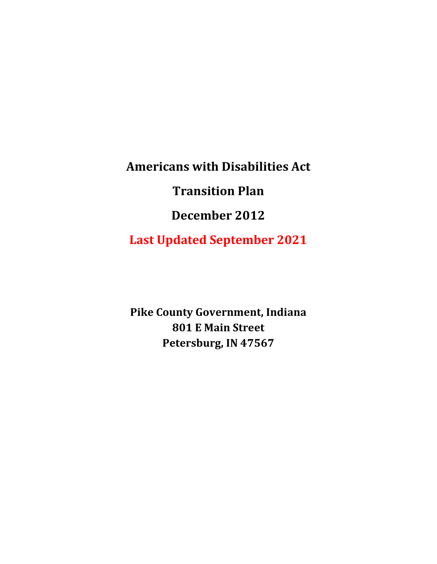**Americans with Disabilities Act Transition Plan December 2012 Last Updated September 2021**

**Pike County Government, Indiana 801 E Main Street Petersburg, IN 47567**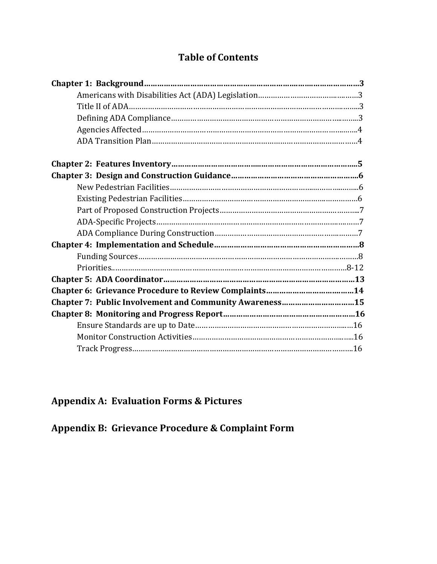# **Table of Contents**

| Chapter 7: Public Involvement and Community Awareness15 |  |
|---------------------------------------------------------|--|
|                                                         |  |
|                                                         |  |
|                                                         |  |
|                                                         |  |

# **Appendix A: Evaluation Forms & Pictures**

**Appendix B: Grievance Procedure & Complaint Form**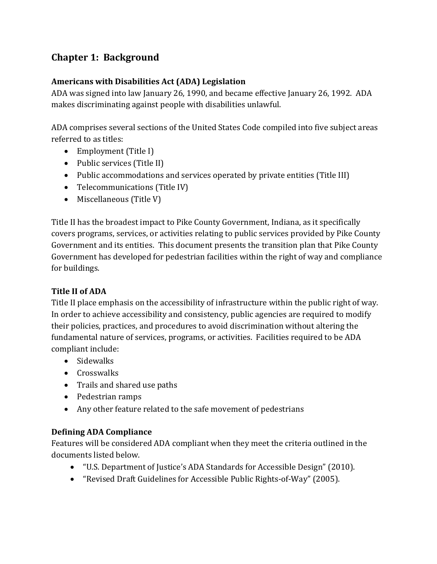# **Chapter 1: Background**

#### **Americans with Disabilities Act (ADA) Legislation**

ADA was signed into law January 26, 1990, and became effective January 26, 1992. ADA makes discriminating against people with disabilities unlawful.

ADA comprises several sections of the United States Code compiled into five subject areas referred to as titles:

- Employment (Title I)
- Public services (Title II)
- Public accommodations and services operated by private entities (Title III)
- Telecommunications (Title IV)
- Miscellaneous (Title V)

Title II has the broadest impact to Pike County Government, Indiana, as it specifically covers programs, services, or activities relating to public services provided by Pike County Government and its entities. This document presents the transition plan that Pike County Government has developed for pedestrian facilities within the right of way and compliance for buildings.

### **Title II of ADA**

Title II place emphasis on the accessibility of infrastructure within the public right of way. In order to achieve accessibility and consistency, public agencies are required to modify their policies, practices, and procedures to avoid discrimination without altering the fundamental nature of services, programs, or activities. Facilities required to be ADA compliant include:

- Sidewalks
- Crosswalks
- Trails and shared use paths
- Pedestrian ramps
- Any other feature related to the safe movement of pedestrians

### **Defining ADA Compliance**

Features will be considered ADA compliant when they meet the criteria outlined in the documents listed below.

- "U.S. Department of Justice's ADA Standards for Accessible Design" (2010).
- "Revised Draft Guidelines for Accessible Public Rights-of-Way" (2005).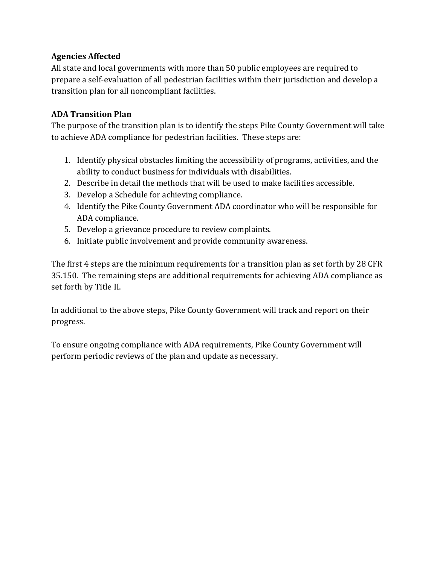#### **Agencies Affected**

All state and local governments with more than 50 public employees are required to prepare a self-evaluation of all pedestrian facilities within their jurisdiction and develop a transition plan for all noncompliant facilities.

### **ADA Transition Plan**

The purpose of the transition plan is to identify the steps Pike County Government will take to achieve ADA compliance for pedestrian facilities. These steps are:

- 1. Identify physical obstacles limiting the accessibility of programs, activities, and the ability to conduct business for individuals with disabilities.
- 2. Describe in detail the methods that will be used to make facilities accessible.
- 3. Develop a Schedule for achieving compliance.
- 4. Identify the Pike County Government ADA coordinator who will be responsible for ADA compliance.
- 5. Develop a grievance procedure to review complaints.
- 6. Initiate public involvement and provide community awareness.

The first 4 steps are the minimum requirements for a transition plan as set forth by 28 CFR 35.150. The remaining steps are additional requirements for achieving ADA compliance as set forth by Title II.

In additional to the above steps, Pike County Government will track and report on their progress.

To ensure ongoing compliance with ADA requirements, Pike County Government will perform periodic reviews of the plan and update as necessary.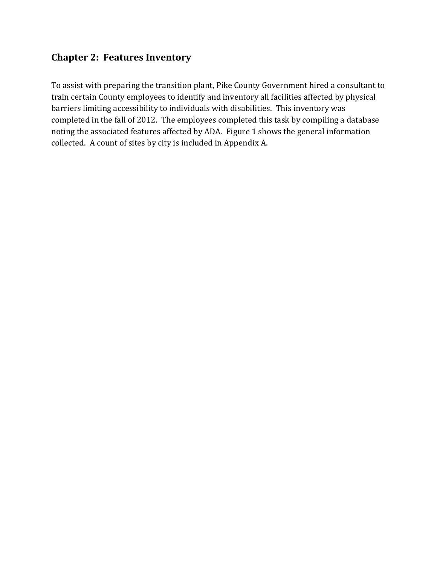### **Chapter 2: Features Inventory**

To assist with preparing the transition plant, Pike County Government hired a consultant to train certain County employees to identify and inventory all facilities affected by physical barriers limiting accessibility to individuals with disabilities. This inventory was completed in the fall of 2012. The employees completed this task by compiling a database noting the associated features affected by ADA. Figure 1 shows the general information collected. A count of sites by city is included in Appendix A.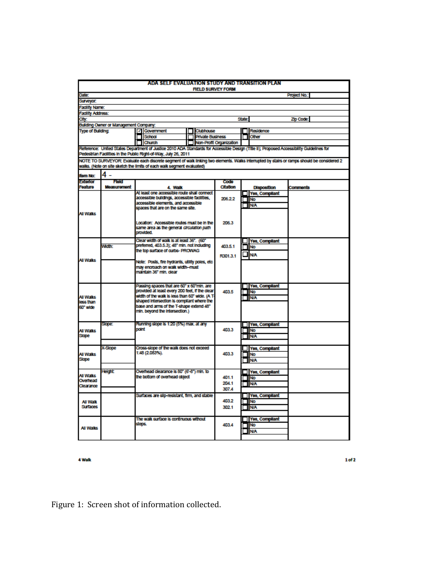| ADA SELF EVALUATION STUDY AND TRANSITION PLAN |                                                                           |                                                |                                                                                                                                           |           |                         |                         |           |                       |                                                                                                                                            |
|-----------------------------------------------|---------------------------------------------------------------------------|------------------------------------------------|-------------------------------------------------------------------------------------------------------------------------------------------|-----------|-------------------------|-------------------------|-----------|-----------------------|--------------------------------------------------------------------------------------------------------------------------------------------|
| <b>FIELD SURVEY FORM</b>                      |                                                                           |                                                |                                                                                                                                           |           |                         |                         |           |                       |                                                                                                                                            |
| Date:                                         |                                                                           |                                                |                                                                                                                                           |           |                         |                         |           |                       | <b>Project No.:</b>                                                                                                                        |
| Surveyor.                                     |                                                                           |                                                |                                                                                                                                           |           |                         |                         |           |                       |                                                                                                                                            |
| <b>Facility Name:</b>                         |                                                                           |                                                |                                                                                                                                           |           |                         |                         |           |                       |                                                                                                                                            |
| <b>Facility Address:</b>                      |                                                                           |                                                |                                                                                                                                           |           |                         |                         |           |                       |                                                                                                                                            |
| City:                                         |                                                                           |                                                |                                                                                                                                           |           |                         |                         | State:    |                       | Zip Code:                                                                                                                                  |
|                                               | Building Owner or Management Company:                                     |                                                |                                                                                                                                           |           |                         |                         |           |                       |                                                                                                                                            |
| <b>Type of Building:</b>                      |                                                                           |                                                | √ Government                                                                                                                              |           | Clubhouse               |                         |           | <b>Residence</b>      |                                                                                                                                            |
|                                               |                                                                           |                                                | School                                                                                                                                    |           | <b>Private Business</b> |                         |           | Other                 |                                                                                                                                            |
|                                               |                                                                           |                                                | Church                                                                                                                                    |           |                         | Non-Profit Organization |           |                       |                                                                                                                                            |
|                                               |                                                                           |                                                | Reference: United States Department of Justice 2010 ADA Standards for Accessible Design (Title II); Proposed Accessibility Guidelines for |           |                         |                         |           |                       |                                                                                                                                            |
|                                               |                                                                           |                                                | Pedestrian Facilities in the Public Right-of-Way, July 26, 2011                                                                           |           |                         |                         |           |                       |                                                                                                                                            |
|                                               |                                                                           |                                                |                                                                                                                                           |           |                         |                         |           |                       | NOTE TO SURVEYOR: Evaluate each discrete segment of walk linking two elements. Walks interrupted by stairs or ramps should be considered 2 |
|                                               |                                                                           |                                                | walks. (Note on site sketch the limits of each walk segment evaluated)                                                                    |           |                         |                         |           |                       |                                                                                                                                            |
| <b>Item No:</b>                               | 4<br>÷                                                                    |                                                |                                                                                                                                           |           |                         |                         |           |                       |                                                                                                                                            |
| Exterior                                      | Field                                                                     |                                                |                                                                                                                                           |           |                         | Code                    |           |                       |                                                                                                                                            |
| Feature                                       | Measurement                                                               |                                                | 4. Walk                                                                                                                                   |           |                         | Citation                |           | <b>Disposition</b>    | Comments                                                                                                                                   |
|                                               |                                                                           |                                                | At least one accessible route shall connect                                                                                               |           |                         |                         |           | <b>Yes, Compilant</b> |                                                                                                                                            |
|                                               |                                                                           |                                                | accessible buildings, accessible facilities,                                                                                              |           |                         | 206.2.2                 | <b>No</b> |                       |                                                                                                                                            |
|                                               |                                                                           |                                                | accessible elements, and accessible                                                                                                       |           |                         |                         |           | <b>N/A</b>            |                                                                                                                                            |
|                                               |                                                                           |                                                | spaces that are on the same site.                                                                                                         |           |                         |                         |           |                       |                                                                                                                                            |
| <b>All Walks</b>                              |                                                                           |                                                |                                                                                                                                           |           |                         |                         |           |                       |                                                                                                                                            |
|                                               |                                                                           |                                                | Location: Accessible routes must be in the                                                                                                |           |                         | 206.3                   |           |                       |                                                                                                                                            |
|                                               |                                                                           |                                                | same area as the general circulation path                                                                                                 |           |                         |                         |           |                       |                                                                                                                                            |
|                                               |                                                                           |                                                | provided.                                                                                                                                 |           |                         |                         |           |                       |                                                                                                                                            |
|                                               |                                                                           |                                                | Clear width of walk is at least 36". (60"                                                                                                 |           |                         |                         |           | Yes, Compilant        |                                                                                                                                            |
|                                               | <b>Width:</b>                                                             |                                                | preferred, 403.5.3); 48" min. not including                                                                                               |           |                         | 403.5.1                 |           | No                    |                                                                                                                                            |
|                                               |                                                                           |                                                | the top surface of curbs- PROWAG                                                                                                          |           |                         |                         |           |                       |                                                                                                                                            |
|                                               |                                                                           |                                                |                                                                                                                                           |           |                         | R301.3.1                |           | <b>N/A</b>            |                                                                                                                                            |
| All Walks                                     |                                                                           |                                                | Note: Posts, fire hydrants, utility poles, etc.                                                                                           |           |                         |                         |           |                       |                                                                                                                                            |
|                                               |                                                                           |                                                | may encroach on walk width-must                                                                                                           |           |                         |                         |           |                       |                                                                                                                                            |
|                                               |                                                                           |                                                | maintain 36° min. clear                                                                                                                   |           |                         |                         |           |                       |                                                                                                                                            |
|                                               |                                                                           |                                                |                                                                                                                                           |           |                         |                         |           |                       |                                                                                                                                            |
|                                               |                                                                           |                                                | Passing spaces that are 60" x 60"min. are                                                                                                 |           |                         |                         |           | <b>Yes, Compliant</b> |                                                                                                                                            |
|                                               |                                                                           | provided at least every 200 feet, if the clear |                                                                                                                                           | 403.5     | $\Box$ No               |                         |           |                       |                                                                                                                                            |
| Ali Walks                                     |                                                                           |                                                | width of the walk is less than 60" wide. (A T-                                                                                            |           |                         |                         |           | <b>N/A</b>            |                                                                                                                                            |
| less than                                     |                                                                           | shaped intersection is compilant where the     |                                                                                                                                           |           |                         |                         |           |                       |                                                                                                                                            |
| 60° wide                                      | base and arms of the T-shape extend 48"<br>min. beyond the intersection.) |                                                |                                                                                                                                           |           |                         |                         |           |                       |                                                                                                                                            |
|                                               |                                                                           |                                                |                                                                                                                                           |           |                         |                         |           |                       |                                                                                                                                            |
|                                               |                                                                           |                                                |                                                                                                                                           |           |                         |                         |           |                       |                                                                                                                                            |
|                                               | Slope:                                                                    | point                                          | Running slope is 1:20 (5%) max. at any                                                                                                    |           |                         |                         |           | <b>Yes, Compliant</b> |                                                                                                                                            |
| All Walks                                     |                                                                           |                                                |                                                                                                                                           |           |                         | 403.3                   | $\Box$ No |                       |                                                                                                                                            |
| <b>Slope</b>                                  |                                                                           |                                                |                                                                                                                                           |           |                         |                         |           | <b>IN/A</b>           |                                                                                                                                            |
|                                               |                                                                           |                                                |                                                                                                                                           |           |                         |                         |           |                       |                                                                                                                                            |
|                                               | X-Slope                                                                   |                                                | Cross-slope of the walk does not exceed                                                                                                   |           |                         |                         |           | Yes, Compilant        |                                                                                                                                            |
| Ali Walks                                     |                                                                           |                                                | 1:48 (2.083%).                                                                                                                            |           |                         | 403.3                   |           | <b>No</b>             |                                                                                                                                            |
| Slope                                         |                                                                           |                                                |                                                                                                                                           |           |                         |                         |           | <b>N/A</b>            |                                                                                                                                            |
|                                               |                                                                           |                                                |                                                                                                                                           |           |                         |                         |           |                       |                                                                                                                                            |
| All Walks                                     | Height                                                                    | Overhead clearance is 80" (6'-8") min. to      |                                                                                                                                           |           |                         | Yes, Compilant          |           |                       |                                                                                                                                            |
| Overhead                                      | the bottom of overhead object                                             |                                                | 401.1                                                                                                                                     | $\Box$ No |                         |                         |           |                       |                                                                                                                                            |
| Clearance                                     |                                                                           |                                                |                                                                                                                                           |           |                         | 204.1                   |           | <b>TIN/A</b>          |                                                                                                                                            |
|                                               |                                                                           |                                                |                                                                                                                                           |           |                         | 307.4                   |           |                       |                                                                                                                                            |
|                                               |                                                                           |                                                | Surfaces are slip-resistant, firm, and stable                                                                                             |           |                         |                         |           | <b>Yes, Compilant</b> |                                                                                                                                            |
| All Walk                                      |                                                                           |                                                |                                                                                                                                           |           | 403.2                   |                         | $\Box$ No |                       |                                                                                                                                            |
| <b>Surfaces</b>                               |                                                                           |                                                |                                                                                                                                           |           |                         | 302.1                   |           | <b>IN/A</b>           |                                                                                                                                            |
|                                               |                                                                           |                                                |                                                                                                                                           |           |                         |                         |           |                       |                                                                                                                                            |
|                                               |                                                                           |                                                | The walk surface is continuous without                                                                                                    |           |                         |                         |           | <b>Yes, Compliant</b> |                                                                                                                                            |
|                                               |                                                                           | steps.                                         |                                                                                                                                           |           |                         | 403.4                   |           | <b>JINO</b>           |                                                                                                                                            |
| All Walks                                     |                                                                           |                                                |                                                                                                                                           |           |                         |                         |           | <b>N/A</b>            |                                                                                                                                            |
|                                               |                                                                           |                                                |                                                                                                                                           |           |                         |                         |           |                       |                                                                                                                                            |
|                                               |                                                                           |                                                |                                                                                                                                           |           |                         |                         |           |                       |                                                                                                                                            |

4 Walk

 $1 of 2$ 

Figure 1: Screen shot of information collected.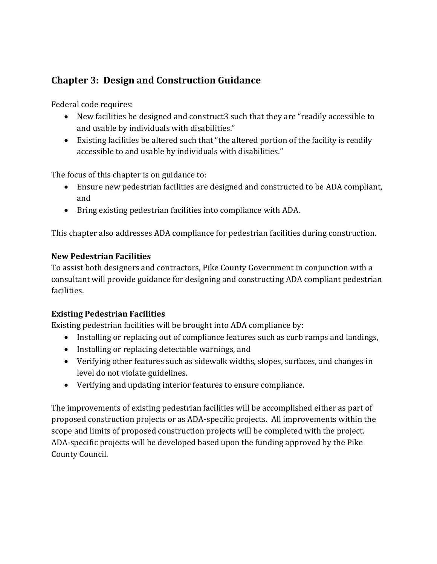## **Chapter 3: Design and Construction Guidance**

Federal code requires:

- New facilities be designed and construct3 such that they are "readily accessible to and usable by individuals with disabilities."
- Existing facilities be altered such that "the altered portion of the facility is readily accessible to and usable by individuals with disabilities."

The focus of this chapter is on guidance to:

- Ensure new pedestrian facilities are designed and constructed to be ADA compliant, and
- Bring existing pedestrian facilities into compliance with ADA.

This chapter also addresses ADA compliance for pedestrian facilities during construction.

#### **New Pedestrian Facilities**

To assist both designers and contractors, Pike County Government in conjunction with a consultant will provide guidance for designing and constructing ADA compliant pedestrian facilities.

### **Existing Pedestrian Facilities**

Existing pedestrian facilities will be brought into ADA compliance by:

- Installing or replacing out of compliance features such as curb ramps and landings,
- Installing or replacing detectable warnings, and
- Verifying other features such as sidewalk widths, slopes, surfaces, and changes in level do not violate guidelines.
- Verifying and updating interior features to ensure compliance.

The improvements of existing pedestrian facilities will be accomplished either as part of proposed construction projects or as ADA-specific projects. All improvements within the scope and limits of proposed construction projects will be completed with the project. ADA-specific projects will be developed based upon the funding approved by the Pike County Council.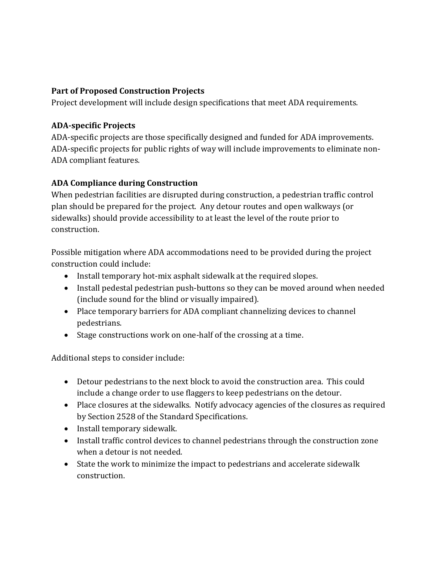#### **Part of Proposed Construction Projects**

Project development will include design specifications that meet ADA requirements.

#### **ADA-specific Projects**

ADA-specific projects are those specifically designed and funded for ADA improvements. ADA-specific projects for public rights of way will include improvements to eliminate non-ADA compliant features.

### **ADA Compliance during Construction**

When pedestrian facilities are disrupted during construction, a pedestrian traffic control plan should be prepared for the project. Any detour routes and open walkways (or sidewalks) should provide accessibility to at least the level of the route prior to construction.

Possible mitigation where ADA accommodations need to be provided during the project construction could include:

- Install temporary hot-mix asphalt sidewalk at the required slopes.
- Install pedestal pedestrian push-buttons so they can be moved around when needed (include sound for the blind or visually impaired).
- Place temporary barriers for ADA compliant channelizing devices to channel pedestrians.
- Stage constructions work on one-half of the crossing at a time.

Additional steps to consider include:

- Detour pedestrians to the next block to avoid the construction area. This could include a change order to use flaggers to keep pedestrians on the detour.
- Place closures at the sidewalks. Notify advocacy agencies of the closures as required by Section 2528 of the Standard Specifications.
- Install temporary sidewalk.
- Install traffic control devices to channel pedestrians through the construction zone when a detour is not needed.
- State the work to minimize the impact to pedestrians and accelerate sidewalk construction.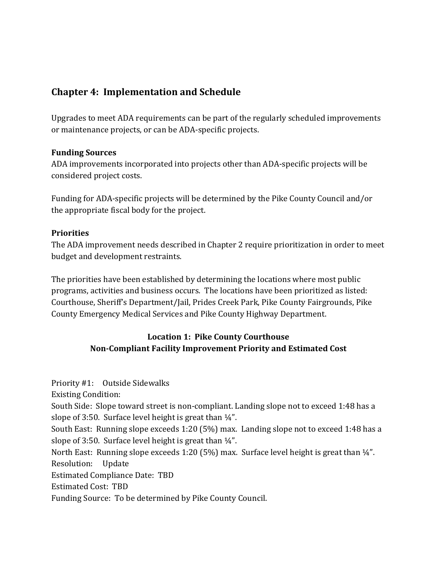### **Chapter 4: Implementation and Schedule**

Upgrades to meet ADA requirements can be part of the regularly scheduled improvements or maintenance projects, or can be ADA-specific projects.

#### **Funding Sources**

ADA improvements incorporated into projects other than ADA-specific projects will be considered project costs.

Funding for ADA-specific projects will be determined by the Pike County Council and/or the appropriate fiscal body for the project.

#### **Priorities**

The ADA improvement needs described in Chapter 2 require prioritization in order to meet budget and development restraints.

The priorities have been established by determining the locations where most public programs, activities and business occurs. The locations have been prioritized as listed: Courthouse, Sheriff's Department/Jail, Prides Creek Park, Pike County Fairgrounds, Pike County Emergency Medical Services and Pike County Highway Department.

### **Location 1: Pike County Courthouse Non-Compliant Facility Improvement Priority and Estimated Cost**

Priority #1: Outside Sidewalks Existing Condition: South Side: Slope toward street is non-compliant. Landing slope not to exceed 1:48 has a slope of 3:50. Surface level height is great than  $\frac{1}{4}$ ". South East: Running slope exceeds 1:20 (5%) max. Landing slope not to exceed 1:48 has a slope of 3:50. Surface level height is great than  $\frac{1}{4}$ ". North East: Running slope exceeds 1:20 (5%) max. Surface level height is great than ¼". Resolution: Update Estimated Compliance Date: TBD Estimated Cost: TBD Funding Source: To be determined by Pike County Council.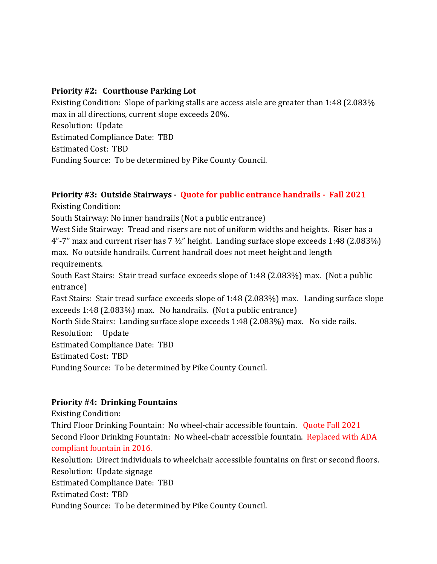#### **Priority #2: Courthouse Parking Lot**

Existing Condition: Slope of parking stalls are access aisle are greater than 1:48 (2.083% max in all directions, current slope exceeds 20%. Resolution: Update Estimated Compliance Date: TBD Estimated Cost: TBD Funding Source: To be determined by Pike County Council.

#### **Priority #3: Outside Stairways - Quote for public entrance handrails - Fall 2021** Existing Condition:

South Stairway: No inner handrails (Not a public entrance)

West Side Stairway: Tread and risers are not of uniform widths and heights. Riser has a  $4"$ -7" max and current riser has  $7\frac{1}{2}$ " height. Landing surface slope exceeds 1:48 (2.083%) max. No outside handrails. Current handrail does not meet height and length requirements.

South East Stairs: Stair tread surface exceeds slope of 1:48 (2.083%) max. (Not a public entrance)

East Stairs: Stair tread surface exceeds slope of 1:48 (2.083%) max. Landing surface slope exceeds 1:48 (2.083%) max. No handrails. (Not a public entrance)

North Side Stairs: Landing surface slope exceeds 1:48 (2.083%) max. No side rails. Resolution: Update Estimated Compliance Date: TBD Estimated Cost: TBD

Funding Source: To be determined by Pike County Council.

#### **Priority #4: Drinking Fountains**

Existing Condition:

Third Floor Drinking Fountain: No wheel-chair accessible fountain. Quote Fall 2021 Second Floor Drinking Fountain: No wheel-chair accessible fountain. Replaced with ADA compliant fountain in 2016.

Resolution: Direct individuals to wheelchair accessible fountains on first or second floors. Resolution: Update signage Estimated Compliance Date: TBD Estimated Cost: TBD Funding Source: To be determined by Pike County Council.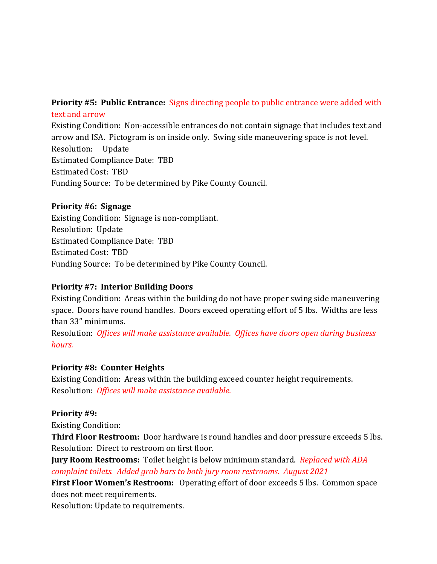#### **Priority #5: Public Entrance:** Signs directing people to public entrance were added with text and arrow

Existing Condition: Non-accessible entrances do not contain signage that includes text and arrow and ISA. Pictogram is on inside only. Swing side maneuvering space is not level. Resolution: Update Estimated Compliance Date: TBD Estimated Cost: TBD Funding Source: To be determined by Pike County Council.

#### **Priority #6: Signage**

Existing Condition: Signage is non-compliant. Resolution: Update Estimated Compliance Date: TBD Estimated Cost: TBD Funding Source: To be determined by Pike County Council.

#### **Priority #7: Interior Building Doors**

Existing Condition: Areas within the building do not have proper swing side maneuvering space. Doors have round handles. Doors exceed operating effort of 5 lbs. Widths are less than 33" minimums.

Resolution: *Offices will make assistance available. Offices have doors open during business hours.* 

#### **Priority #8: Counter Heights**

Existing Condition: Areas within the building exceed counter height requirements. Resolution: *Offices will make assistance available.*

#### **Priority #9:**

Existing Condition:

**Third Floor Restroom:** Door hardware is round handles and door pressure exceeds 5 lbs. Resolution: Direct to restroom on first floor.

**Jury Room Restrooms:** Toilet height is below minimum standard. *Replaced with ADA complaint toilets. Added grab bars to both jury room restrooms. August 2021*

**First Floor Women's Restroom:** Operating effort of door exceeds 5 lbs. Common space does not meet requirements.

Resolution: Update to requirements.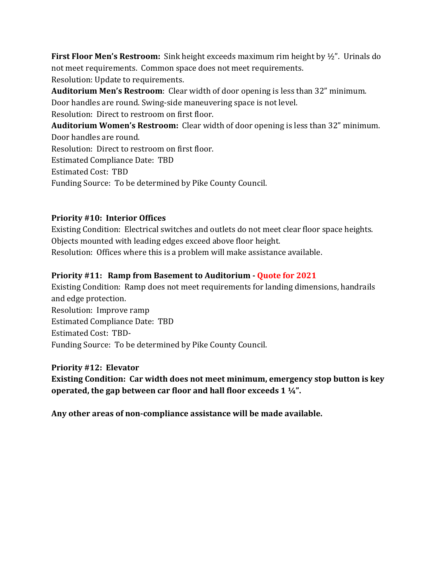**First Floor Men's Restroom:** Sink height exceeds maximum rim height by ½". Urinals do not meet requirements. Common space does not meet requirements. Resolution: Update to requirements.

**Auditorium Men's Restroom**: Clear width of door opening is less than 32" minimum. Door handles are round. Swing-side maneuvering space is not level.

Resolution: Direct to restroom on first floor.

**Auditorium Women's Restroom:** Clear width of door opening is less than 32" minimum. Door handles are round. Resolution: Direct to restroom on first floor. Estimated Compliance Date: TBD Estimated Cost: TBD Funding Source: To be determined by Pike County Council.

#### **Priority #10: Interior Offices**

Existing Condition: Electrical switches and outlets do not meet clear floor space heights. Objects mounted with leading edges exceed above floor height. Resolution: Offices where this is a problem will make assistance available.

#### **Priority #11: Ramp from Basement to Auditorium - Quote for 2021**

Existing Condition: Ramp does not meet requirements for landing dimensions, handrails and edge protection. Resolution: Improve ramp Estimated Compliance Date: TBD Estimated Cost: TBD-Funding Source: To be determined by Pike County Council.

#### **Priority #12: Elevator**

**Existing Condition: Car width does not meet minimum, emergency stop button is key operated, the gap between car floor and hall floor exceeds 1 ¼".** 

**Any other areas of non-compliance assistance will be made available.**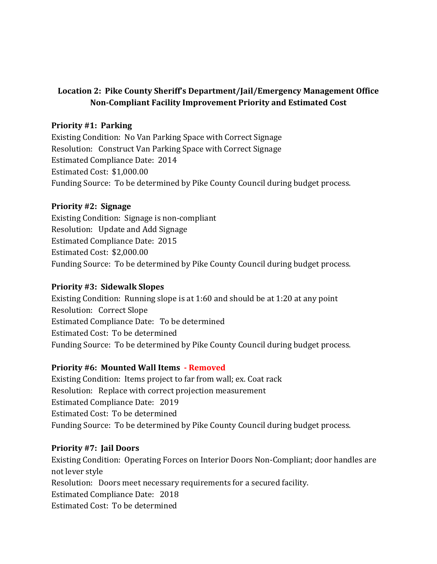#### **Location 2: Pike County Sheriff's Department/Jail/Emergency Management Office Non-Compliant Facility Improvement Priority and Estimated Cost**

#### **Priority #1: Parking**

Existing Condition: No Van Parking Space with Correct Signage Resolution: Construct Van Parking Space with Correct Signage Estimated Compliance Date: 2014 Estimated Cost: \$1,000.00 Funding Source: To be determined by Pike County Council during budget process.

#### **Priority #2: Signage**

Existing Condition: Signage is non-compliant Resolution: Update and Add Signage Estimated Compliance Date: 2015 Estimated Cost: \$2,000.00 Funding Source: To be determined by Pike County Council during budget process.

#### **Priority #3: Sidewalk Slopes**

Existing Condition: Running slope is at 1:60 and should be at 1:20 at any point Resolution: Correct Slope Estimated Compliance Date: To be determined Estimated Cost: To be determined Funding Source: To be determined by Pike County Council during budget process.

#### **Priority #6: Mounted Wall Items - Removed**

Existing Condition: Items project to far from wall; ex. Coat rack Resolution: Replace with correct projection measurement Estimated Compliance Date: 2019 Estimated Cost: To be determined Funding Source: To be determined by Pike County Council during budget process.

#### **Priority #7: Jail Doors**

Existing Condition: Operating Forces on Interior Doors Non-Compliant; door handles are not lever style Resolution: Doors meet necessary requirements for a secured facility. Estimated Compliance Date: 2018 Estimated Cost: To be determined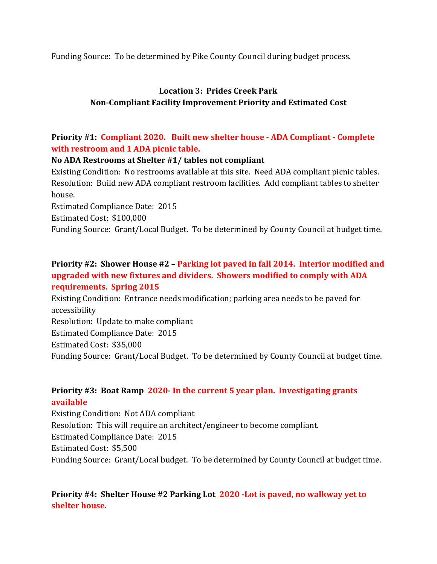Funding Source: To be determined by Pike County Council during budget process.

### **Location 3: Prides Creek Park Non-Compliant Facility Improvement Priority and Estimated Cost**

### **Priority #1: Compliant 2020. Built new shelter house - ADA Compliant - Complete with restroom and 1 ADA picnic table.**

#### **No ADA Restrooms at Shelter #1/ tables not compliant**

Existing Condition: No restrooms available at this site. Need ADA compliant picnic tables. Resolution: Build new ADA compliant restroom facilities. Add compliant tables to shelter house.

Estimated Compliance Date: 2015 Estimated Cost: \$100,000 Funding Source: Grant/Local Budget. To be determined by County Council at budget time.

#### **Priority #2: Shower House #2 – Parking lot paved in fall 2014. Interior modified and upgraded with new fixtures and dividers. Showers modified to comply with ADA requirements. Spring 2015**

Existing Condition: Entrance needs modification; parking area needs to be paved for accessibility Resolution: Update to make compliant Estimated Compliance Date: 2015 Estimated Cost: \$35,000 Funding Source: Grant/Local Budget. To be determined by County Council at budget time.

#### **Priority #3: Boat Ramp 2020- In the current 5 year plan. Investigating grants available**

Existing Condition: Not ADA compliant Resolution: This will require an architect/engineer to become compliant. Estimated Compliance Date: 2015 Estimated Cost: \$5,500 Funding Source: Grant/Local budget. To be determined by County Council at budget time.

### **Priority #4: Shelter House #2 Parking Lot 2020 -Lot is paved, no walkway yet to shelter house.**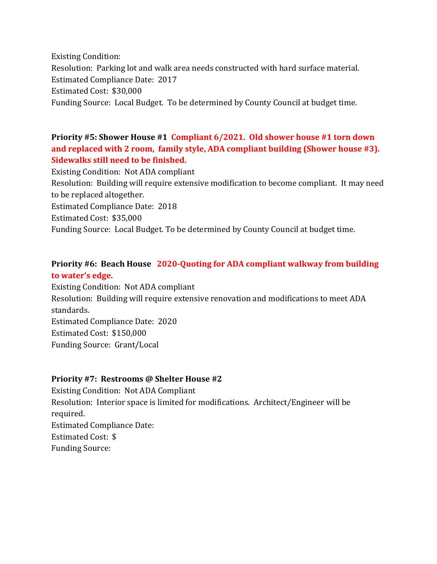Existing Condition: Resolution: Parking lot and walk area needs constructed with hard surface material. Estimated Compliance Date: 2017 Estimated Cost: \$30,000 Funding Source: Local Budget. To be determined by County Council at budget time.

### **Priority #5: Shower House #1 Compliant 6/2021. Old shower house #1 torn down and replaced with 2 room, family style, ADA compliant building (Shower house #3). Sidewalks still need to be finished.**

Existing Condition: Not ADA compliant Resolution: Building will require extensive modification to become compliant. It may need to be replaced altogether. Estimated Compliance Date: 2018 Estimated Cost: \$35,000

Funding Source: Local Budget. To be determined by County Council at budget time.

### **Priority #6: Beach House 2020-Quoting for ADA compliant walkway from building to water's edge.**

Existing Condition: Not ADA compliant Resolution: Building will require extensive renovation and modifications to meet ADA standards. Estimated Compliance Date: 2020 Estimated Cost: \$150,000 Funding Source: Grant/Local

#### **Priority #7: Restrooms @ Shelter House #2**

Existing Condition: Not ADA Compliant Resolution: Interior space is limited for modifications. Architect/Engineer will be required. Estimated Compliance Date: Estimated Cost: \$ Funding Source: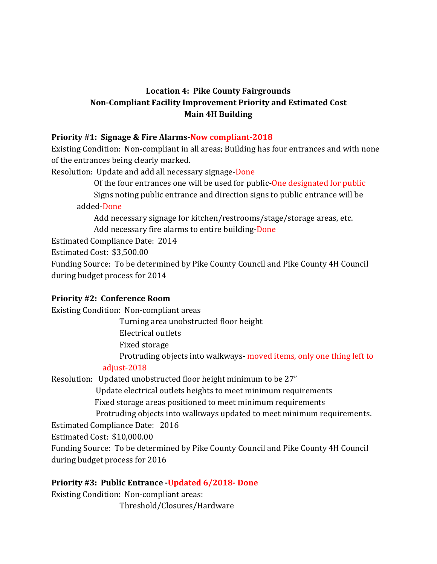### **Location 4: Pike County Fairgrounds Non-Compliant Facility Improvement Priority and Estimated Cost Main 4H Building**

#### **Priority #1: Signage & Fire Alarms-Now compliant-2018**

Existing Condition: Non-compliant in all areas; Building has four entrances and with none of the entrances being clearly marked.

Resolution: Update and add all necessary signage-Done

Of the four entrances one will be used for public-One designated for public

 Signs noting public entrance and direction signs to public entrance will be added-Done

 Add necessary signage for kitchen/restrooms/stage/storage areas, etc. Add necessary fire alarms to entire building-Done

Estimated Compliance Date: 2014

Estimated Cost: \$3,500.00

Funding Source: To be determined by Pike County Council and Pike County 4H Council during budget process for 2014

#### **Priority #2: Conference Room**

Existing Condition: Non-compliant areas

Turning area unobstructed floor height

Electrical outlets

Fixed storage

Protruding objects into walkways- moved items, only one thing left to

#### adjust-2018

Resolution: Updated unobstructed floor height minimum to be 27"

 Update electrical outlets heights to meet minimum requirements Fixed storage areas positioned to meet minimum requirements

Protruding objects into walkways updated to meet minimum requirements.

Estimated Compliance Date: 2016

Estimated Cost: \$10,000.00

Funding Source: To be determined by Pike County Council and Pike County 4H Council during budget process for 2016

### **Priority #3: Public Entrance -Updated 6/2018- Done**

Existing Condition: Non-compliant areas: Threshold/Closures/Hardware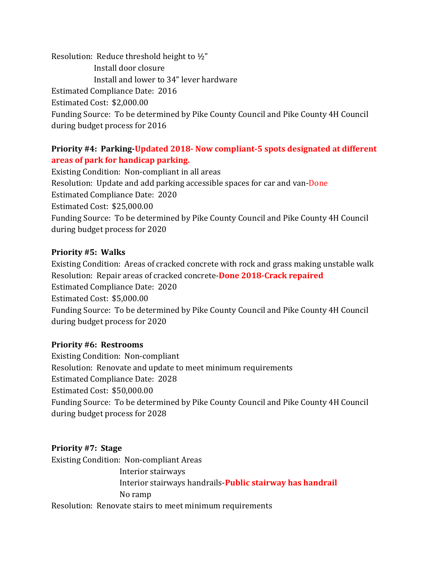Resolution: Reduce threshold height to ½" Install door closure Install and lower to 34" lever hardware Estimated Compliance Date: 2016 Estimated Cost: \$2,000.00 Funding Source: To be determined by Pike County Council and Pike County 4H Council during budget process for 2016

#### **Priority #4: Parking-Updated 2018- Now compliant-5 spots designated at different areas of park for handicap parking.**

Existing Condition: Non-compliant in all areas Resolution: Update and add parking accessible spaces for car and van-Done Estimated Compliance Date: 2020 Estimated Cost: \$25,000.00 Funding Source: To be determined by Pike County Council and Pike County 4H Council during budget process for 2020

#### **Priority #5: Walks**

Existing Condition: Areas of cracked concrete with rock and grass making unstable walk Resolution: Repair areas of cracked concrete-**Done 2018-Crack repaired** Estimated Compliance Date: 2020 Estimated Cost: \$5,000.00 Funding Source: To be determined by Pike County Council and Pike County 4H Council during budget process for 2020

#### **Priority #6: Restrooms**

Existing Condition: Non-compliant Resolution: Renovate and update to meet minimum requirements Estimated Compliance Date: 2028 Estimated Cost: \$50,000.00 Funding Source: To be determined by Pike County Council and Pike County 4H Council during budget process for 2028

#### **Priority #7: Stage**

Existing Condition: Non-compliant Areas Interior stairways Interior stairways handrails-**Public stairway has handrail** No ramp Resolution: Renovate stairs to meet minimum requirements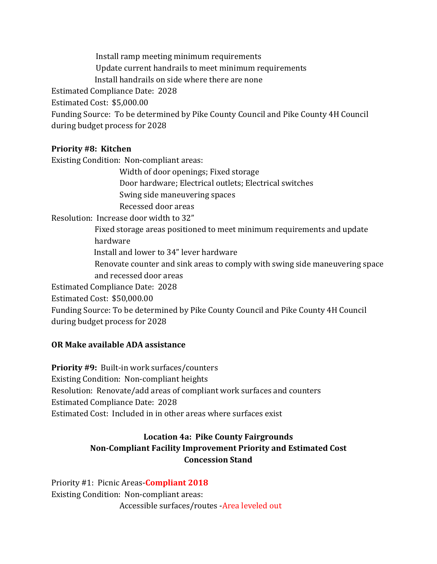Install ramp meeting minimum requirements Update current handrails to meet minimum requirements Install handrails on side where there are none Estimated Compliance Date: 2028 Estimated Cost: \$5,000.00 Funding Source: To be determined by Pike County Council and Pike County 4H Council during budget process for 2028

#### **Priority #8: Kitchen**

Existing Condition: Non-compliant areas:

 Width of door openings; Fixed storage Door hardware; Electrical outlets; Electrical switches Swing side maneuvering spaces Recessed door areas Resolution: Increase door width to 32" Fixed storage areas positioned to meet minimum requirements and update hardware Install and lower to 34" lever hardware Renovate counter and sink areas to comply with swing side maneuvering space and recessed door areas Estimated Compliance Date: 2028 Estimated Cost: \$50,000.00 Funding Source: To be determined by Pike County Council and Pike County 4H Council during budget process for 2028

#### **OR Make available ADA assistance**

**Priority #9:** Built-in work surfaces/counters Existing Condition: Non-compliant heights Resolution: Renovate/add areas of compliant work surfaces and counters Estimated Compliance Date: 2028 Estimated Cost: Included in in other areas where surfaces exist

### **Location 4a: Pike County Fairgrounds Non-Compliant Facility Improvement Priority and Estimated Cost Concession Stand**

Priority #1: Picnic Areas-**Compliant 2018** Existing Condition: Non-compliant areas: Accessible surfaces/routes -Area leveled out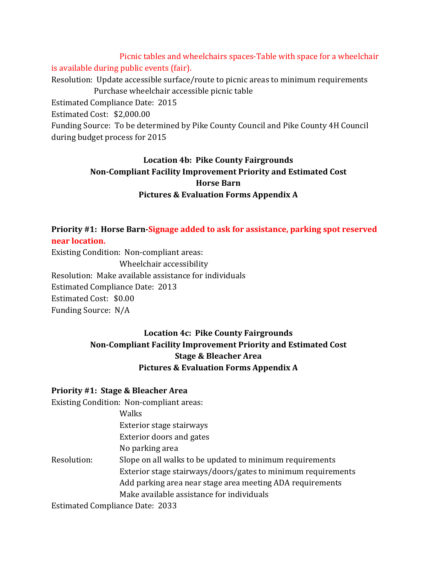Picnic tables and wheelchairs spaces-Table with space for a wheelchair is available during public events (fair). Resolution: Update accessible surface/route to picnic areas to minimum requirements Purchase wheelchair accessible picnic table Estimated Compliance Date: 2015 Estimated Cost: \$2,000.00 Funding Source: To be determined by Pike County Council and Pike County 4H Council during budget process for 2015

### **Location 4b: Pike County Fairgrounds Non-Compliant Facility Improvement Priority and Estimated Cost Horse Barn Pictures & Evaluation Forms Appendix A**

**Priority #1: Horse Barn-Signage added to ask for assistance, parking spot reserved near location.**

Existing Condition: Non-compliant areas: Wheelchair accessibility Resolution: Make available assistance for individuals Estimated Compliance Date: 2013 Estimated Cost: \$0.00 Funding Source: N/A

### **Location 4c: Pike County Fairgrounds Non-Compliant Facility Improvement Priority and Estimated Cost Stage & Bleacher Area Pictures & Evaluation Forms Appendix A**

#### **Priority #1: Stage & Bleacher Area**

Existing Condition: Non-compliant areas:

|             | Walks                                                        |
|-------------|--------------------------------------------------------------|
|             | Exterior stage stairways                                     |
|             | <b>Exterior doors and gates</b>                              |
|             | No parking area                                              |
| Resolution: | Slope on all walks to be updated to minimum requirements     |
|             | Exterior stage stairways/doors/gates to minimum requirements |
|             | Add parking area near stage area meeting ADA requirements    |
|             | Make available assistance for individuals                    |
|             |                                                              |

Estimated Compliance Date: 2033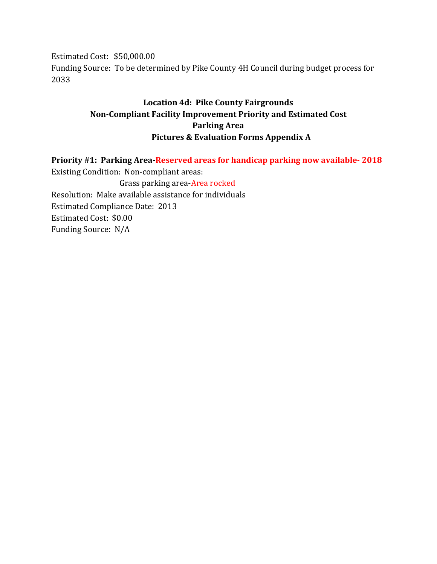Estimated Cost: \$50,000.00 Funding Source: To be determined by Pike County 4H Council during budget process for 2033

### **Location 4d: Pike County Fairgrounds Non-Compliant Facility Improvement Priority and Estimated Cost Parking Area Pictures & Evaluation Forms Appendix A**

**Priority #1: Parking Area-Reserved areas for handicap parking now available- 2018** Existing Condition: Non-compliant areas: Grass parking area-Area rocked Resolution: Make available assistance for individuals Estimated Compliance Date: 2013 Estimated Cost: \$0.00 Funding Source: N/A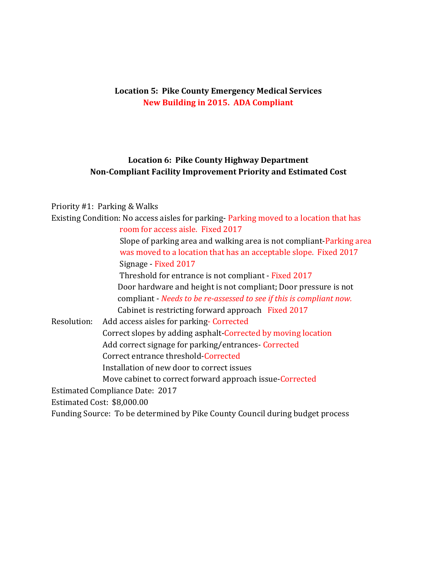#### **Location 5: Pike County Emergency Medical Services New Building in 2015. ADA Compliant**

### **Location 6: Pike County Highway Department Non-Compliant Facility Improvement Priority and Estimated Cost**

### Priority #1: Parking & Walks

| Existing Condition: No access aisles for parking-Parking moved to a location that has |
|---------------------------------------------------------------------------------------|
| room for access aisle. Fixed 2017                                                     |
| Slope of parking area and walking area is not compliant-Parking area                  |
| was moved to a location that has an acceptable slope. Fixed 2017                      |
| Signage - Fixed 2017                                                                  |
| Threshold for entrance is not compliant - Fixed 2017                                  |
| Door hardware and height is not compliant; Door pressure is not                       |
| compliant - Needs to be re-assessed to see if this is compliant now.                  |
| Cabinet is restricting forward approach Fixed 2017                                    |
| Resolution:<br>Add access aisles for parking-Corrected                                |
| Correct slopes by adding asphalt-Corrected by moving location                         |
| Add correct signage for parking/entrances Corrected                                   |
| Correct entrance threshold-Corrected                                                  |
| Installation of new door to correct issues                                            |
| Move cabinet to correct forward approach issue-Corrected                              |
| <b>Estimated Compliance Date: 2017</b>                                                |
| Estimated Cost: \$8,000.00                                                            |
| Funding Source: To be determined by Pike County Council during budget process         |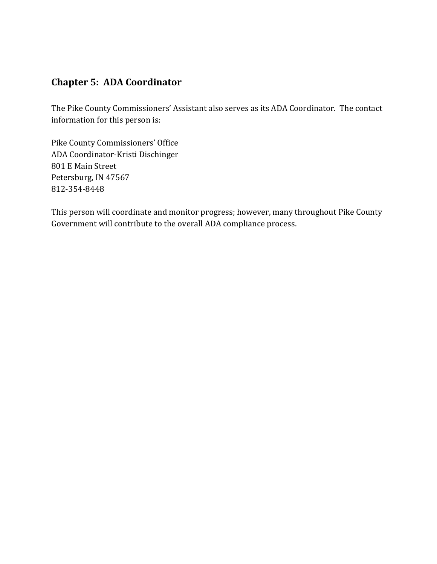### **Chapter 5: ADA Coordinator**

The Pike County Commissioners' Assistant also serves as its ADA Coordinator. The contact information for this person is:

Pike County Commissioners' Office ADA Coordinator-Kristi Dischinger 801 E Main Street Petersburg, IN 47567 812-354-8448

This person will coordinate and monitor progress; however, many throughout Pike County Government will contribute to the overall ADA compliance process.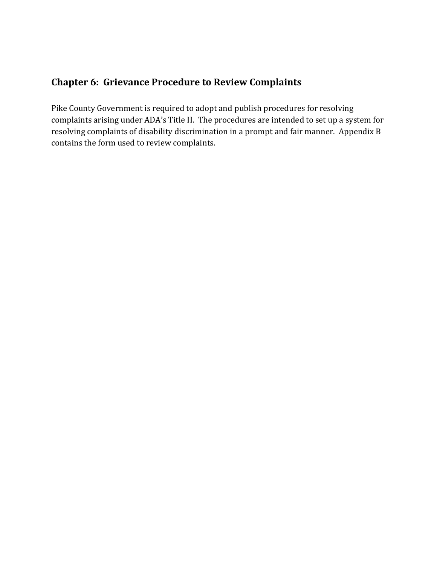### **Chapter 6: Grievance Procedure to Review Complaints**

Pike County Government is required to adopt and publish procedures for resolving complaints arising under ADA's Title II. The procedures are intended to set up a system for resolving complaints of disability discrimination in a prompt and fair manner. Appendix B contains the form used to review complaints.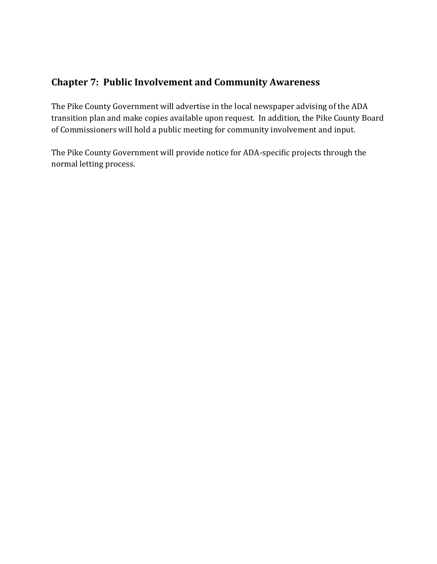### **Chapter 7: Public Involvement and Community Awareness**

The Pike County Government will advertise in the local newspaper advising of the ADA transition plan and make copies available upon request. In addition, the Pike County Board of Commissioners will hold a public meeting for community involvement and input.

The Pike County Government will provide notice for ADA-specific projects through the normal letting process.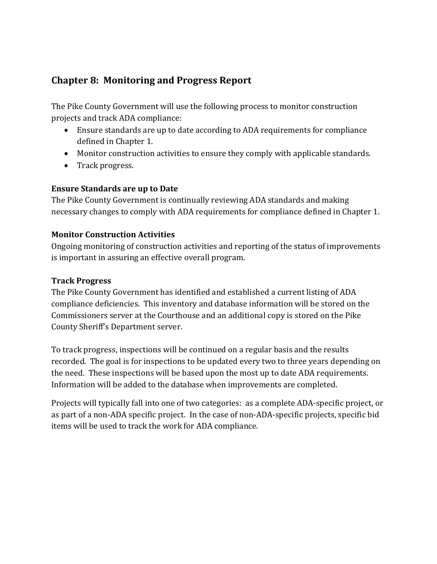### **Chapter 8: Monitoring and Progress Report**

The Pike County Government will use the following process to monitor construction projects and track ADA compliance:

- Ensure standards are up to date according to ADA requirements for compliance defined in Chapter 1.
- Monitor construction activities to ensure they comply with applicable standards.
- Track progress.

#### **Ensure Standards are up to Date**

The Pike County Government is continually reviewing ADA standards and making necessary changes to comply with ADA requirements for compliance defined in Chapter 1.

#### **Monitor Construction Activities**

Ongoing monitoring of construction activities and reporting of the status of improvements is important in assuring an effective overall program.

#### **Track Progress**

The Pike County Government has identified and established a current listing of ADA compliance deficiencies. This inventory and database information will be stored on the Commissioners server at the Courthouse and an additional copy is stored on the Pike County Sheriff's Department server.

To track progress, inspections will be continued on a regular basis and the results recorded. The goal is for inspections to be updated every two to three years depending on the need. These inspections will be based upon the most up to date ADA requirements. Information will be added to the database when improvements are completed.

Projects will typically fall into one of two categories: as a complete ADA-specific project, or as part of a non-ADA specific project. In the case of non-ADA-specific projects, specific bid items will be used to track the work for ADA compliance.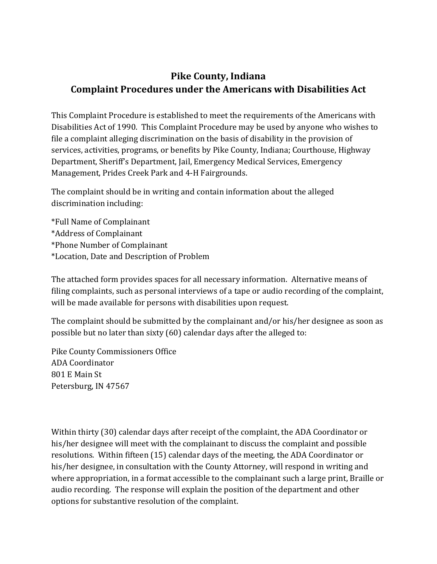# **Pike County, Indiana Complaint Procedures under the Americans with Disabilities Act**

This Complaint Procedure is established to meet the requirements of the Americans with Disabilities Act of 1990. This Complaint Procedure may be used by anyone who wishes to file a complaint alleging discrimination on the basis of disability in the provision of services, activities, programs, or benefits by Pike County, Indiana; Courthouse, Highway Department, Sheriff's Department, Jail, Emergency Medical Services, Emergency Management, Prides Creek Park and 4-H Fairgrounds.

The complaint should be in writing and contain information about the alleged discrimination including:

\*Full Name of Complainant \*Address of Complainant \*Phone Number of Complainant \*Location, Date and Description of Problem

The attached form provides spaces for all necessary information. Alternative means of filing complaints, such as personal interviews of a tape or audio recording of the complaint, will be made available for persons with disabilities upon request.

The complaint should be submitted by the complainant and/or his/her designee as soon as possible but no later than sixty (60) calendar days after the alleged to:

Pike County Commissioners Office ADA Coordinator 801 E Main St Petersburg, IN 47567

Within thirty (30) calendar days after receipt of the complaint, the ADA Coordinator or his/her designee will meet with the complainant to discuss the complaint and possible resolutions. Within fifteen (15) calendar days of the meeting, the ADA Coordinator or his/her designee, in consultation with the County Attorney, will respond in writing and where appropriation, in a format accessible to the complainant such a large print, Braille or audio recording. The response will explain the position of the department and other options for substantive resolution of the complaint.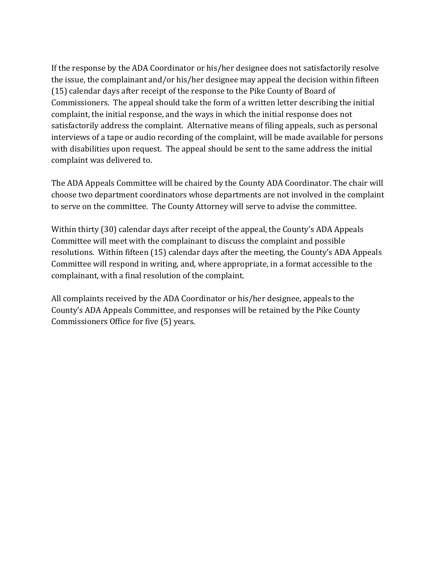If the response by the ADA Coordinator or his/her designee does not satisfactorily resolve the issue, the complainant and/or his/her designee may appeal the decision within fifteen (15) calendar days after receipt of the response to the Pike County of Board of Commissioners. The appeal should take the form of a written letter describing the initial complaint, the initial response, and the ways in which the initial response does not satisfactorily address the complaint. Alternative means of filing appeals, such as personal interviews of a tape or audio recording of the complaint, will be made available for persons with disabilities upon request. The appeal should be sent to the same address the initial complaint was delivered to.

The ADA Appeals Committee will be chaired by the County ADA Coordinator. The chair will choose two department coordinators whose departments are not involved in the complaint to serve on the committee. The County Attorney will serve to advise the committee.

Within thirty (30) calendar days after receipt of the appeal, the County's ADA Appeals Committee will meet with the complainant to discuss the complaint and possible resolutions. Within fifteen (15) calendar days after the meeting, the County's ADA Appeals Committee will respond in writing, and, where appropriate, in a format accessible to the complainant, with a final resolution of the complaint.

All complaints received by the ADA Coordinator or his/her designee, appeals to the County's ADA Appeals Committee, and responses will be retained by the Pike County Commissioners Office for five (5) years.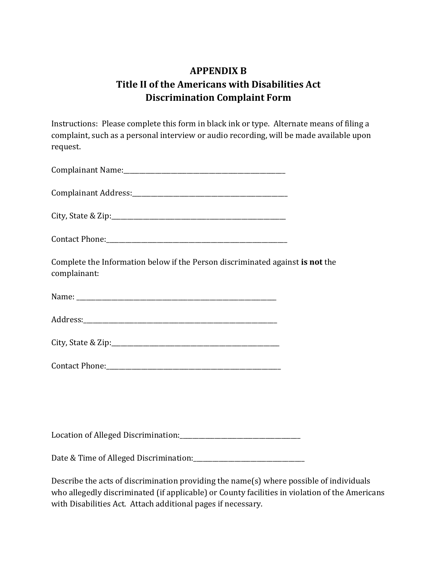# **APPENDIX B Title II of the Americans with Disabilities Act Discrimination Complaint Form**

Instructions: Please complete this form in black ink or type. Alternate means of filing a complaint, such as a personal interview or audio recording, will be made available upon request.

| Complete the Information below if the Person discriminated against is not the<br>complainant: |  |
|-----------------------------------------------------------------------------------------------|--|
|                                                                                               |  |
|                                                                                               |  |
|                                                                                               |  |
|                                                                                               |  |
|                                                                                               |  |

Location of Alleged Discrimination:\_\_\_\_\_\_\_\_\_\_\_\_\_\_\_\_\_\_\_\_\_\_\_\_\_\_\_\_\_\_\_\_\_\_\_\_\_\_

Date & Time of Alleged Discrimination:\_\_\_\_\_\_\_\_\_\_\_\_\_\_\_\_\_\_\_\_\_\_\_\_\_\_\_\_\_\_\_\_\_\_\_

Describe the acts of discrimination providing the name(s) where possible of individuals who allegedly discriminated (if applicable) or County facilities in violation of the Americans with Disabilities Act. Attach additional pages if necessary.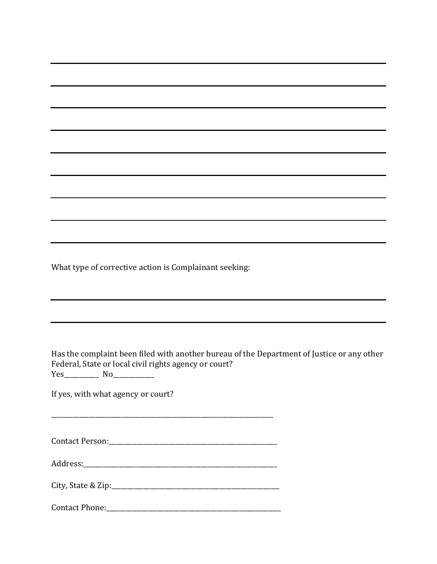What type of corrective action is Complainant seeking:

Has the complaint been filed with another bureau of the Department of Justice or any other Federal, State or local civil rights agency or court? Yes\_\_\_\_\_\_\_\_\_\_\_ No\_\_\_\_\_\_\_\_\_\_\_\_\_

If yes, with what agency or court?

Contact Person:\_\_\_\_\_\_\_\_\_\_\_\_\_\_\_\_\_\_\_\_\_\_\_\_\_\_\_\_\_\_\_\_\_\_\_\_\_\_\_\_\_\_\_\_\_\_\_\_\_\_\_\_\_

\_\_\_\_\_\_\_\_\_\_\_\_\_\_\_\_\_\_\_\_\_\_\_\_\_\_\_\_\_\_\_\_\_\_\_\_\_\_\_\_\_\_\_\_\_\_\_\_\_\_\_\_\_\_\_\_\_\_\_\_\_\_\_\_\_\_\_\_\_\_

Address:\_\_\_\_\_\_\_\_\_\_\_\_\_\_\_\_\_\_\_\_\_\_\_\_\_\_\_\_\_\_\_\_\_\_\_\_\_\_\_\_\_\_\_\_\_\_\_\_\_\_\_\_\_\_\_\_\_\_\_\_\_

City, State & Zip:\_\_\_\_\_\_\_\_\_\_\_\_\_\_\_\_\_\_\_\_\_\_\_\_\_\_\_\_\_\_\_\_\_\_\_\_\_\_\_\_\_\_\_\_\_\_\_\_\_\_\_\_\_

Contact Phone:\_\_\_\_\_\_\_\_\_\_\_\_\_\_\_\_\_\_\_\_\_\_\_\_\_\_\_\_\_\_\_\_\_\_\_\_\_\_\_\_\_\_\_\_\_\_\_\_\_\_\_\_\_\_\_